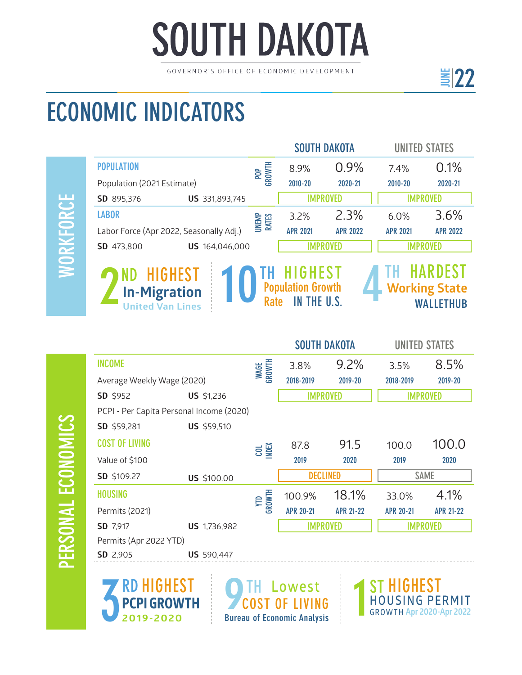## **SOUTH DAKOTA**

GOVERNOR'S OFFICE OF ECONOMIC DEVELOPMENT

## ECONOMIC INDICATORS

PERSONAL ECONOMICS

PERSONAL ECONOMICS

|                                                                                                                                                                                                        |                |                       |                 | <b>SOUTH DAKOTA</b> | <b>UNITED STATES</b> |                 |
|--------------------------------------------------------------------------------------------------------------------------------------------------------------------------------------------------------|----------------|-----------------------|-----------------|---------------------|----------------------|-----------------|
| <b>POPULATION</b>                                                                                                                                                                                      |                | POP<br>GROWTH         | 8.9%            | 0.9%                | 7.4%                 | 0.1%            |
| Population (2021 Estimate)                                                                                                                                                                             |                |                       | 2010-20         | 2020-21             | 2010-20              | 2020-21         |
| SD 895,376                                                                                                                                                                                             | US 331,893,745 |                       |                 | <b>IMPROVED</b>     |                      | <b>IMPROVED</b> |
| <b>LABOR</b>                                                                                                                                                                                           |                | <b>UNEMP</b><br>RATES | 3.2%            | 2.3%                | 6.0%                 | 3.6%            |
| Labor Force (Apr 2022, Seasonally Adj.)                                                                                                                                                                |                |                       | <b>APR 2021</b> | <b>APR 2022</b>     | <b>APR 2021</b>      | <b>APR 2022</b> |
| SD 473,800<br>US 164,046,000                                                                                                                                                                           |                | IMPROVFD              |                 |                     |                      |                 |
| <b>HARDEST</b><br><b>HIGHEST</b><br>HIGHEST<br>ND.<br><b>Population Growth</b><br><b>Working State</b><br><b>In-Migration</b><br><b>Rate</b><br>THE U.S.<br>IN<br>WALLETHUB<br><b>United Van Lines</b> |                |                       |                 |                     |                      |                 |

|                                          |                   |                | <b>SOUTH DAKOTA</b> |                  | <b>UNITED STATES</b> |                  |
|------------------------------------------|-------------------|----------------|---------------------|------------------|----------------------|------------------|
| <b>INCOME</b>                            |                   | WAGE<br>GROWTH | 3.8%                | 9.2%             | 3.5%                 | 8.5%             |
| Average Weekly Wage (2020)               |                   |                | 2018-2019           | 2019-20          | 2018-2019            | 2019-20          |
| SD \$952                                 | US \$1,236        |                | <b>IMPROVED</b>     |                  | <b>IMPROVED</b>      |                  |
| PCPI - Per Capita Personal Income (2020) |                   |                |                     |                  |                      |                  |
| SD \$59,281                              | US \$59,510       |                |                     |                  |                      |                  |
| <b>COST OF LIVING</b>                    |                   | <b>COL</b>     | 87.8                | 91.5             | 100.0                | 100.0            |
| Value of \$100                           |                   |                | 2019                | 2020             | 2019                 | 2020             |
| SD \$109.27                              | US \$100.00       |                | <b>DECLINED</b>     |                  | <b>SAME</b>          |                  |
| <b>HOUSING</b>                           |                   | YTD<br>GROWTH  | 100.9%              | 18.1%            | 33.0%                | 4.1%             |
| Permits (2021)                           |                   |                | <b>APR 20-21</b>    | <b>APR 21-22</b> | <b>APR 20-21</b>     | <b>APR 21-22</b> |
| SD 7,917                                 | US 1,736,982      |                | <b>IMPROVED</b>     |                  | <b>IMPROVED</b>      |                  |
| Permits (Apr 2022 YTD)                   |                   |                |                     |                  |                      |                  |
| SD 2,905                                 | <b>US</b> 590,447 |                |                     |                  |                      |                  |



**O**TH Lowest COST OF LIVING Bureau of Economic Analysis

HEST **H O U S I N G P E R M I T** 1**GROWTH Apr 2020-Apr 2022** ST

<u>E</u>